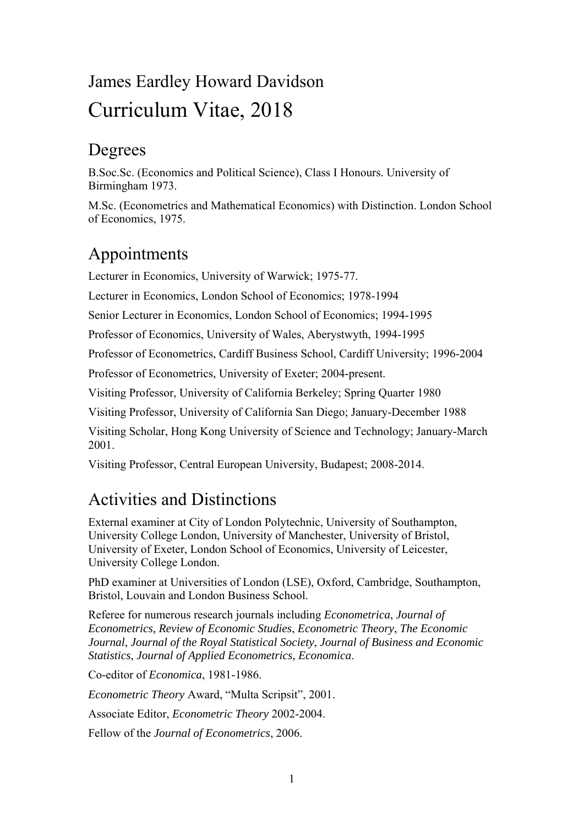# James Eardley Howard Davidson Curriculum Vitae, 2018

### Degrees

B.Soc.Sc. (Economics and Political Science), Class I Honours. University of Birmingham 1973.

M.Sc. (Econometrics and Mathematical Economics) with Distinction. London School of Economics, 1975.

## Appointments

Lecturer in Economics, University of Warwick; 1975-77.

Lecturer in Economics, London School of Economics; 1978-1994

Senior Lecturer in Economics, London School of Economics; 1994-1995

Professor of Economics, University of Wales, Aberystwyth, 1994-1995

Professor of Econometrics, Cardiff Business School, Cardiff University; 1996-2004

Professor of Econometrics, University of Exeter; 2004-present.

Visiting Professor, University of California Berkeley; Spring Quarter 1980

Visiting Professor, University of California San Diego; January-December 1988

Visiting Scholar, Hong Kong University of Science and Technology; January-March 2001.

Visiting Professor, Central European University, Budapest; 2008-2014.

## Activities and Distinctions

External examiner at City of London Polytechnic, University of Southampton, University College London, University of Manchester, University of Bristol, University of Exeter, London School of Economics, University of Leicester, University College London.

PhD examiner at Universities of London (LSE), Oxford, Cambridge, Southampton, Bristol, Louvain and London Business School.

Referee for numerous research journals including *Econometrica*, *Journal of Econometrics, Review of Economic Studies*, *Econometric Theory*, *The Economic Journal*, *Journal of the Royal Statistical Society*, *Journal of Business and Economic Statistics*, *Journal of Applied Econometrics*, *Economica*.

Co-editor of *Economica*, 1981-1986.

*Econometric Theory* Award, "Multa Scripsit", 2001.

Associate Editor, *Econometric Theory* 2002-2004.

Fellow of the *Journal of Econometrics*, 2006.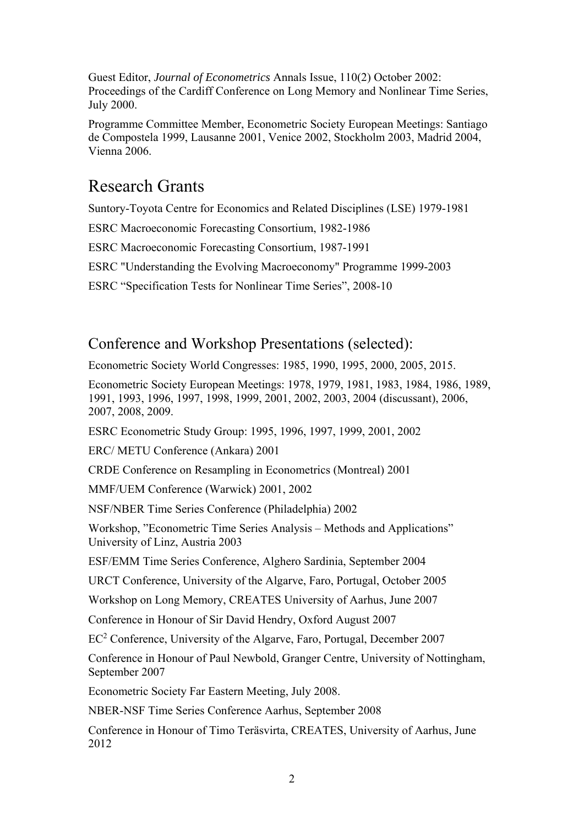Guest Editor, *Journal of Econometrics* Annals Issue, 110(2) October 2002: Proceedings of the Cardiff Conference on Long Memory and Nonlinear Time Series, July 2000.

Programme Committee Member, Econometric Society European Meetings: Santiago de Compostela 1999, Lausanne 2001, Venice 2002, Stockholm 2003, Madrid 2004, Vienna 2006.

### Research Grants

Suntory-Toyota Centre for Economics and Related Disciplines (LSE) 1979-1981

ESRC Macroeconomic Forecasting Consortium, 1982-1986

ESRC Macroeconomic Forecasting Consortium, 1987-1991

ESRC "Understanding the Evolving Macroeconomy" Programme 1999-2003

ESRC "Specification Tests for Nonlinear Time Series", 2008-10

### Conference and Workshop Presentations (selected):

Econometric Society World Congresses: 1985, 1990, 1995, 2000, 2005, 2015.

Econometric Society European Meetings: 1978, 1979, 1981, 1983, 1984, 1986, 1989, 1991, 1993, 1996, 1997, 1998, 1999, 2001, 2002, 2003, 2004 (discussant), 2006, 2007, 2008, 2009.

ESRC Econometric Study Group: 1995, 1996, 1997, 1999, 2001, 2002

ERC/ METU Conference (Ankara) 2001

CRDE Conference on Resampling in Econometrics (Montreal) 2001

MMF/UEM Conference (Warwick) 2001, 2002

NSF/NBER Time Series Conference (Philadelphia) 2002

Workshop, "Econometric Time Series Analysis – Methods and Applications" University of Linz, Austria 2003

ESF/EMM Time Series Conference, Alghero Sardinia, September 2004

URCT Conference, University of the Algarve, Faro, Portugal, October 2005

Workshop on Long Memory, CREATES University of Aarhus, June 2007

Conference in Honour of Sir David Hendry, Oxford August 2007

EC<sup>2</sup> Conference, University of the Algarve, Faro, Portugal, December 2007

Conference in Honour of Paul Newbold, Granger Centre, University of Nottingham, September 2007

Econometric Society Far Eastern Meeting, July 2008.

NBER-NSF Time Series Conference Aarhus, September 2008

Conference in Honour of Timo Teräsvirta, CREATES, University of Aarhus, June 2012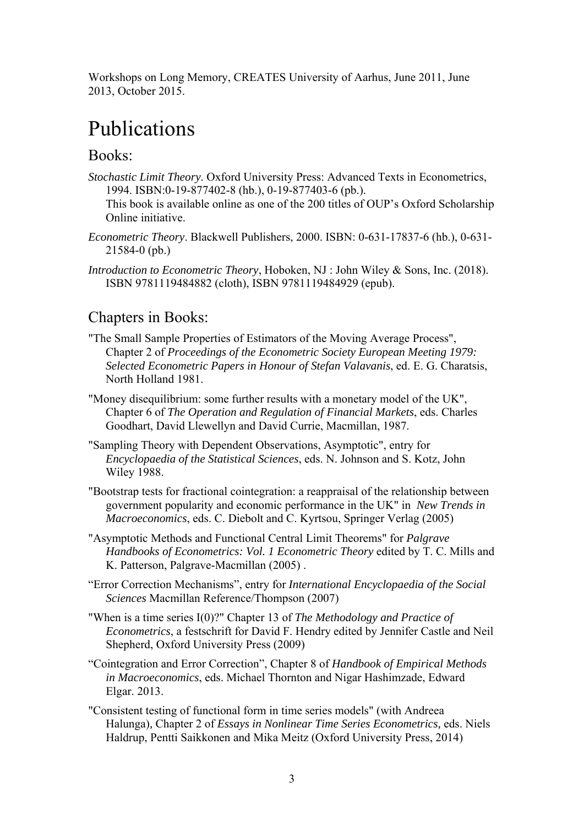Workshops on Long Memory, CREATES University of Aarhus, June 2011, June 2013, October 2015.

## Publications

### Books:

*Stochastic Limit Theory*. Oxford University Press: Advanced Texts in Econometrics, 1994. ISBN:0-19-877402-8 (hb.), 0-19-877403-6 (pb.).

This book is available online as one of the 200 titles of OUP's Oxford Scholarship Online initiative.

- *Econometric Theory*. Blackwell Publishers, 2000. ISBN: 0-631-17837-6 (hb.), 0-631- 21584-0 (pb.)
- *Introduction to Econometric Theory*, Hoboken, NJ : John Wiley & Sons, Inc. (2018). ISBN 9781119484882 (cloth), ISBN 9781119484929 (epub).

### Chapters in Books:

- "The Small Sample Properties of Estimators of the Moving Average Process", Chapter 2 of *Proceedings of the Econometric Society European Meeting 1979: Selected Econometric Papers in Honour of Stefan Valavanis*, ed. E. G. Charatsis, North Holland 1981.
- "Money disequilibrium: some further results with a monetary model of the UK", Chapter 6 of *The Operation and Regulation of Financial Markets*, eds. Charles Goodhart, David Llewellyn and David Currie, Macmillan, 1987.
- "Sampling Theory with Dependent Observations, Asymptotic", entry for *Encyclopaedia of the Statistical Sciences*, eds. N. Johnson and S. Kotz, John Wiley 1988.
- "Bootstrap tests for fractional cointegration: a reappraisal of the relationship between government popularity and economic performance in the UK" in *New Trends in Macroeconomics*, eds. C. Diebolt and C. Kyrtsou, Springer Verlag (2005)
- "Asymptotic Methods and Functional Central Limit Theorems" for *Palgrave Handbooks of Econometrics: Vol. 1 Econometric Theory* edited by T. C. Mills and K. Patterson, Palgrave-Macmillan (2005) .
- "Error Correction Mechanisms", entry for *International Encyclopaedia of the Social Sciences* Macmillan Reference/Thompson (2007)
- "When is a time series I(0)?" Chapter 13 of *The Methodology and Practice of Econometrics*, a festschrift for David F. Hendry edited by Jennifer Castle and Neil Shepherd, Oxford University Press (2009)
- "Cointegration and Error Correction", Chapter 8 of *Handbook of Empirical Methods in Macroeconomics*, eds. Michael Thornton and Nigar Hashimzade, Edward Elgar. 2013.
- "Consistent testing of functional form in time series models" (with Andreea Halunga)*,* Chapter 2 of *Essays in Nonlinear Time Series Econometrics,* eds. Niels Haldrup, Pentti Saikkonen and Mika Meitz (Oxford University Press, 2014)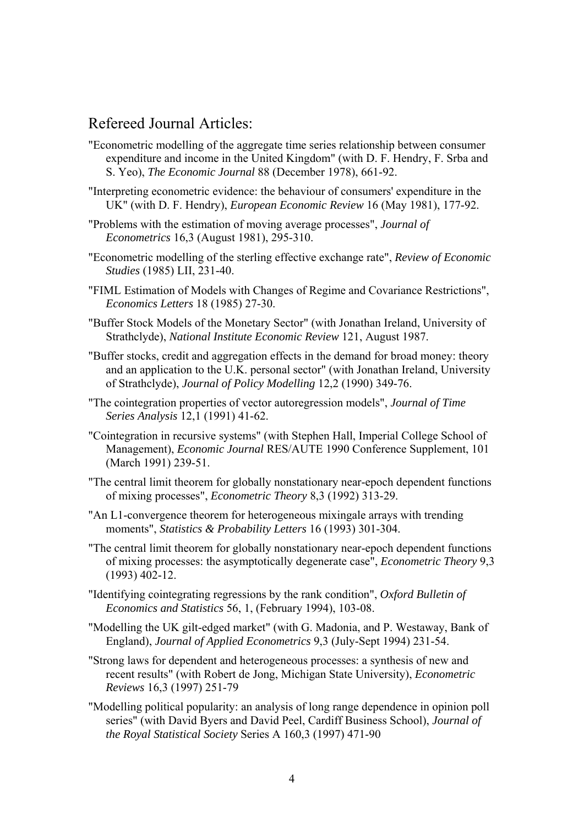#### Refereed Journal Articles:

- "Econometric modelling of the aggregate time series relationship between consumer expenditure and income in the United Kingdom" (with D. F. Hendry, F. Srba and S. Yeo), *The Economic Journal* 88 (December 1978), 661-92.
- "Interpreting econometric evidence: the behaviour of consumers' expenditure in the UK" (with D. F. Hendry), *European Economic Review* 16 (May 1981), 177-92.
- "Problems with the estimation of moving average processes", *Journal of Econometrics* 16,3 (August 1981), 295-310.
- "Econometric modelling of the sterling effective exchange rate", *Review of Economic Studies* (1985) LII, 231-40.
- "FIML Estimation of Models with Changes of Regime and Covariance Restrictions", *Economics Letters* 18 (1985) 27-30.
- "Buffer Stock Models of the Monetary Sector" (with Jonathan Ireland, University of Strathclyde), *National Institute Economic Review* 121, August 1987.
- "Buffer stocks, credit and aggregation effects in the demand for broad money: theory and an application to the U.K. personal sector" (with Jonathan Ireland, University of Strathclyde), *Journal of Policy Modelling* 12,2 (1990) 349-76.
- "The cointegration properties of vector autoregression models", *Journal of Time Series Analysis* 12,1 (1991) 41-62.
- "Cointegration in recursive systems" (with Stephen Hall, Imperial College School of Management), *Economic Journal* RES/AUTE 1990 Conference Supplement, 101 (March 1991) 239-51.
- "The central limit theorem for globally nonstationary near-epoch dependent functions of mixing processes", *Econometric Theory* 8,3 (1992) 313-29.
- "An L1-convergence theorem for heterogeneous mixingale arrays with trending moments", *Statistics & Probability Letters* 16 (1993) 301-304.
- "The central limit theorem for globally nonstationary near-epoch dependent functions of mixing processes: the asymptotically degenerate case", *Econometric Theory* 9,3 (1993) 402-12.
- "Identifying cointegrating regressions by the rank condition", *Oxford Bulletin of Economics and Statistics* 56, 1, (February 1994), 103-08.
- "Modelling the UK gilt-edged market" (with G. Madonia, and P. Westaway, Bank of England), *Journal of Applied Econometrics* 9,3 (July-Sept 1994) 231-54.
- "Strong laws for dependent and heterogeneous processes: a synthesis of new and recent results" (with Robert de Jong, Michigan State University), *Econometric Reviews* 16,3 (1997) 251-79
- "Modelling political popularity: an analysis of long range dependence in opinion poll series" (with David Byers and David Peel, Cardiff Business School), *Journal of the Royal Statistical Society* Series A 160,3 (1997) 471-90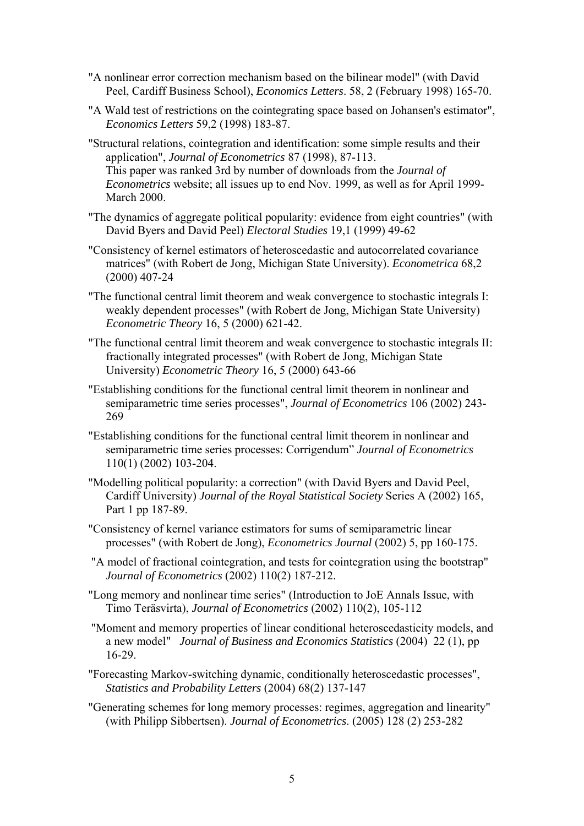- "A nonlinear error correction mechanism based on the bilinear model" (with David Peel, Cardiff Business School), *Economics Letters*. 58, 2 (February 1998) 165-70.
- "A Wald test of restrictions on the cointegrating space based on Johansen's estimator", *Economics Letters* 59,2 (1998) 183-87.
- "Structural relations, cointegration and identification: some simple results and their application", *Journal of Econometrics* 87 (1998), 87-113. This paper was ranked 3rd by number of downloads from the *Journal of Econometrics* website; all issues up to end Nov. 1999, as well as for April 1999- March 2000.
- "The dynamics of aggregate political popularity: evidence from eight countries" (with David Byers and David Peel) *Electoral Studies* 19,1 (1999) 49-62
- "Consistency of kernel estimators of heteroscedastic and autocorrelated covariance matrices" (with Robert de Jong, Michigan State University). *Econometrica* 68,2 (2000) 407-24
- "The functional central limit theorem and weak convergence to stochastic integrals I: weakly dependent processes" (with Robert de Jong, Michigan State University) *Econometric Theory* 16, 5 (2000) 621-42.
- "The functional central limit theorem and weak convergence to stochastic integrals II: fractionally integrated processes" (with Robert de Jong, Michigan State University) *Econometric Theory* 16, 5 (2000) 643-66
- "Establishing conditions for the functional central limit theorem in nonlinear and semiparametric time series processes", *Journal of Econometrics* 106 (2002) 243- 269
- "Establishing conditions for the functional central limit theorem in nonlinear and semiparametric time series processes: Corrigendum" *Journal of Econometrics* 110(1) (2002) 103-204.
- "Modelling political popularity: a correction" (with David Byers and David Peel, Cardiff University) *Journal of the Royal Statistical Society* Series A (2002) 165, Part 1 pp 187-89.
- "Consistency of kernel variance estimators for sums of semiparametric linear processes" (with Robert de Jong), *Econometrics Journal* (2002) 5, pp 160-175.
- "A model of fractional cointegration, and tests for cointegration using the bootstrap" *Journal of Econometrics* (2002) 110(2) 187-212.
- "Long memory and nonlinear time series" (Introduction to JoE Annals Issue, with Timo Teräsvirta), *Journal of Econometrics* (2002) 110(2), 105-112
- "Moment and memory properties of linear conditional heteroscedasticity models, and a new model" *Journal of Business and Economics Statistics* (2004) 22 (1), pp 16-29.
- "Forecasting Markov-switching dynamic, conditionally heteroscedastic processes", *Statistics and Probability Letters* (2004) 68(2) 137-147
- "Generating schemes for long memory processes: regimes, aggregation and linearity" (with Philipp Sibbertsen). *Journal of Econometrics*. (2005) 128 (2) 253-282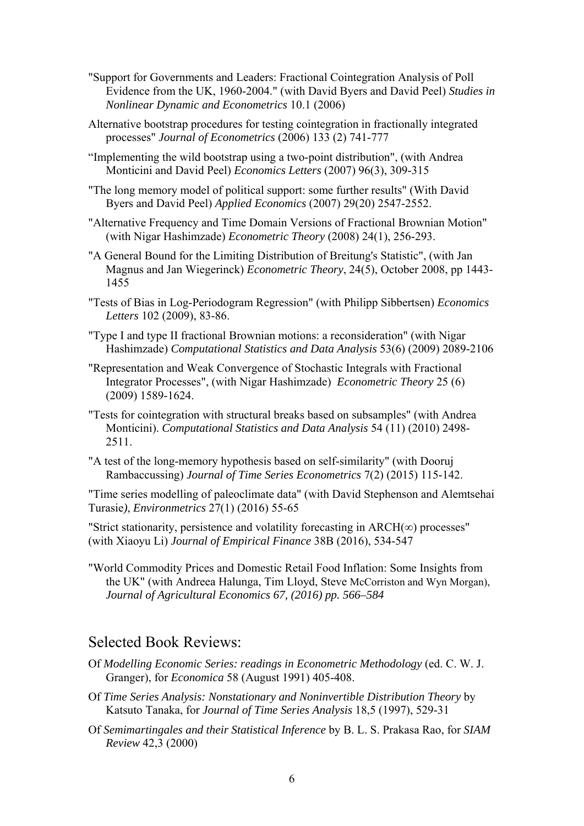- "Support for Governments and Leaders: Fractional Cointegration Analysis of Poll Evidence from the UK, 1960-2004." (with David Byers and David Peel) *Studies in Nonlinear Dynamic and Econometrics* 10.1 (2006)
- Alternative bootstrap procedures for testing cointegration in fractionally integrated processes" *Journal of Econometrics* (2006) 133 (2) 741-777
- "Implementing the wild bootstrap using a two-point distribution", (with Andrea Monticini and David Peel) *Economics Letters* (2007) 96(3), 309-315
- "The long memory model of political support: some further results" (With David Byers and David Peel) *Applied Economics* (2007) 29(20) 2547-2552.
- "Alternative Frequency and Time Domain Versions of Fractional Brownian Motion" (with Nigar Hashimzade) *Econometric Theory* (2008) 24(1), 256-293.
- "A General Bound for the Limiting Distribution of Breitung's Statistic", (with Jan Magnus and Jan Wiegerinck) *Econometric Theory*, 24(5), October 2008, pp 1443- 1455
- "Tests of Bias in Log-Periodogram Regression" (with Philipp Sibbertsen) *Economics Letters* 102 (2009), 83-86.
- "Type I and type II fractional Brownian motions: a reconsideration" (with Nigar Hashimzade) *Computational Statistics and Data Analysis* 53(6) (2009) 2089-2106
- "Representation and Weak Convergence of Stochastic Integrals with Fractional Integrator Processes", (with Nigar Hashimzade) *Econometric Theory* 25 (6) (2009) 1589-1624.
- "Tests for cointegration with structural breaks based on subsamples" (with Andrea Monticini). *Computational Statistics and Data Analysis* 54 (11) (2010) 2498- 2511.
- "A test of the long-memory hypothesis based on self-similarity" (with Dooruj Rambaccussing) *Journal of Time Series Econometrics* 7(2) (2015) 115-142.

"Time series modelling of paleoclimate data" (with David Stephenson and Alemtsehai Turasie*)*, *Environmetrics* 27(1) (2016) 55-65

"Strict stationarity, persistence and volatility forecasting in  $ARCH(\infty)$  processes" (with Xiaoyu Li) *Journal of Empirical Finance* 38B (2016), 534-547

"World Commodity Prices and Domestic Retail Food Inflation: Some Insights from the UK" (with Andreea Halunga, Tim Lloyd, Steve McCorriston and Wyn Morgan), *Journal of Agricultural Economics 67, (2016) pp. 566–584*

### Selected Book Reviews:

- Of *Modelling Economic Series: readings in Econometric Methodology* (ed. C. W. J. Granger), for *Economica* 58 (August 1991) 405-408.
- Of *Time Series Analysis: Nonstationary and Noninvertible Distribution Theory* by Katsuto Tanaka, for *Journal of Time Series Analysis* 18,5 (1997), 529-31
- Of *Semimartingales and their Statistical Inference* by B. L. S. Prakasa Rao, for *SIAM Review* 42,3 (2000)